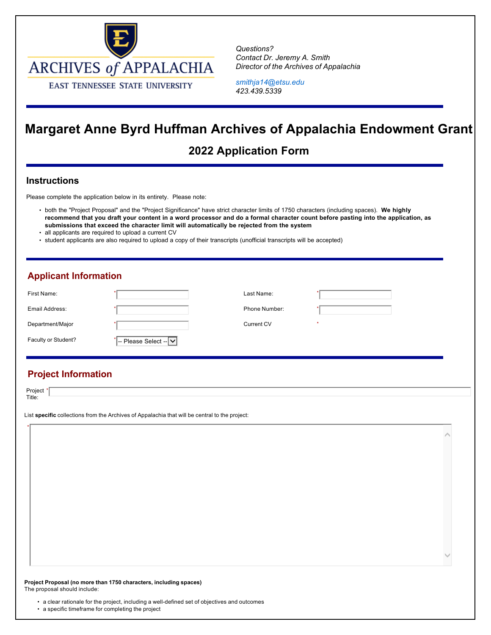

*Questions? Contact Dr. Jeremy A. Smith Director of the Archives of Appalachia*

 $\sim$ 

 $\blacktriangledown$ 

*smithja14@etsu.edu 423.439.5339*

# **Margaret Anne Byrd Huffman Archives of Appalachia Endowment Grant**

## **2022 Application Form**

#### **Instructions**

Please complete the application below in its entirety. Please note:

- both the "Project Proposal" and the "Project Significance" have strict character limits of 1750 characters (including spaces). **We highly recommend that you draft your content in a word processor and do a formal character count before pasting into the application, as submissions that exceed the character limit will automatically be rejected from the system**
- all applicants are required to upload a current CV
- student applicants are also required to upload a copy of their transcripts (unofficial transcripts will be accepted)

### **Applicant Information**

| First Name:         |                                           | Last Name:    |  |
|---------------------|-------------------------------------------|---------------|--|
| Email Address:      |                                           | Phone Number: |  |
| Department/Major    |                                           | Current CV    |  |
| Faculty or Student? | $\left  - \text{Please Select} - \right $ |               |  |

### **Project Information**

Project \* Title:

\*

List **specific** collections from the Archives of Appalachia that will be central to the project:

**Project Proposal (no more than 1750 characters, including spaces)** The proposal should include:

- a clear rationale for the project, including a well-defined set of objectives and outcomes
- a specific timeframe for completing the project